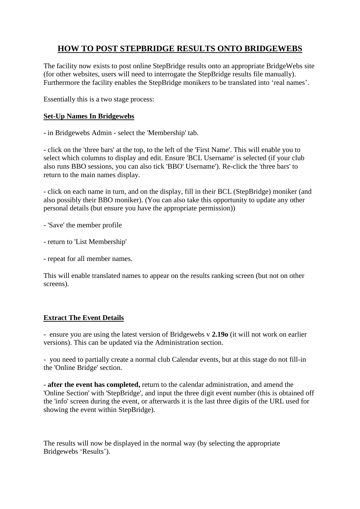## **HOW TO POST STEPBRIDGE RESULTS ONTO BRIDGEWEBS**

The facility now exists to post online StepBridge results onto an appropriate BridgeWebs site (for other websites, users will need to interrogate the StepBridge results file manually). Furthermore the facility enables the StepBridge monikers to be translated into 'real names'.

Essentially this is a two stage process:

## **Set-Up Names In Bridgewebs**

- in Bridgewebs Admin - select the 'Membership' tab.

- click on the 'three bars' at the top, to the left of the 'First Name'. This will enable you to select which columns to display and edit. Ensure 'BCL Username' is selected (if your club also runs BBO sessions, you can also tick 'BBO' Username'). Re-click the 'three bars' to return to the main names display.

- click on each name in turn, and on the display, fill in their BCL (StepBridge) moniker (and also possibly their BBO moniker). (You can also take this opportunity to update any other personal details (but ensure you have the appropriate permission))

- 'Save' the member profile

- return to 'List Membership'
- repeat for all member names.

This will enable translated names to appear on the results ranking screen (but not on other screens).

## **Extract The Event Details**

- ensure you are using the latest version of Bridgewebs v **2.19o** (it will not work on earlier versions). This can be updated via the Administration section.

- you need to partially create a normal club Calendar events, but at this stage do not fill-in the 'Online Bridge' section.

- **after the event has completed,** return to the calendar administration, and amend the 'Online Section' with 'StepBridge', and input the three digit event number (this is obtained off the 'info' screen during the event, or afterwards it is the last three digits of the URL used for showing the event within StepBridge).

The results will now be displayed in the normal way (by selecting the appropriate Bridgewebs 'Results').